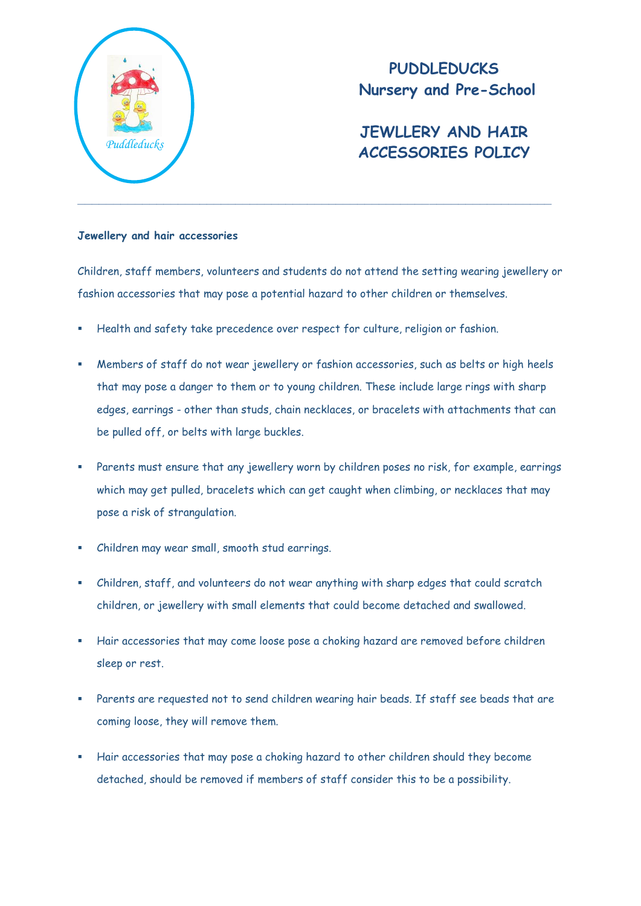

## **PUDDLEDUCKS Nursery and Pre-School**

## **JEWLLERY AND HAIR ACCESSORIES POLICY** *Puddleducks*

## **Jewellery and hair accessories**

Children, staff members, volunteers and students do not attend the setting wearing jewellery or fashion accessories that may pose a potential hazard to other children or themselves.

- Health and safety take precedence over respect for culture, religion or fashion.
- Members of staff do not wear jewellery or fashion accessories, such as belts or high heels that may pose a danger to them or to young children. These include large rings with sharp edges, earrings - other than studs, chain necklaces, or bracelets with attachments that can be pulled off, or belts with large buckles.
- Parents must ensure that any jewellery worn by children poses no risk, for example, earrings which may get pulled, bracelets which can get caught when climbing, or necklaces that may pose a risk of strangulation.
- Children may wear small, smooth stud earrings.
- Children, staff, and volunteers do not wear anything with sharp edges that could scratch children, or jewellery with small elements that could become detached and swallowed.
- Hair accessories that may come loose pose a choking hazard are removed before children sleep or rest.
- Parents are requested not to send children wearing hair beads. If staff see beads that are coming loose, they will remove them.
- Hair accessories that may pose a choking hazard to other children should they become detached, should be removed if members of staff consider this to be a possibility.